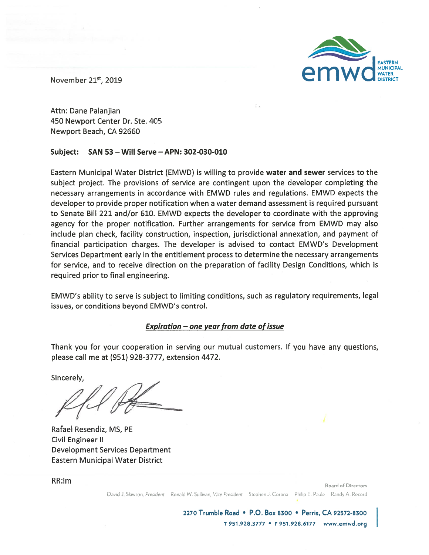

November 21<sup>st</sup>, 2019

Attn: Dane Palanjian 450 Newport Center Dr. Ste. 405 Newport Beach, CA 92660

## **Subject: SAN 53** - **Will Serve -APN: 302-030-010**

Eastern Municipal Water District (EMWD) is willing to provide **water and sewer** services to the subject project. The provisions of service are contingent upon the developer completing the necessary arrangements in accordance with EMWD rules and regulations. EMWD expects the developer to provide proper notification when a water demand assessment is required pursuant to Senate Bill 221 and/or 610. EMWD expects the developer to coordinate with the approving agency for the proper notification. Further arrangements for service from EMWD may also include plan check, facility construction, inspection, jurisdictional annexation, and payment of financial participation charges. The developer is advised to contact EMWD's Development Services Department early in the entitlement process to determine the necessary arrangements for service, and to receive direction on the preparation of facility Design Conditions, which is required prior to final engineering.

EMWD's ability to serve is subject to limiting conditions, such as regulatory requirements, legal issues, or conditions beyond EMWD's control.

## **Expiration** - **one year from date of issue**

Thank you for your cooperation in serving our mutual customers. If you have any questions, please call me at (951} 928-3777, extension 4472.

Sincerely,

Rafael Resendiz, MS, PE Civil Engineer II Development Services Department Eastern Municipal Water District

RR:lm

**Board of Directors** 

David J S!aw::on. *President* Ronald **W.** Sullivan, *Vice President* Stephen J. Corona Philip E. Paule Randy A. Record

**2270 Trumble Road** • **P.O. Box 8300** • **Perris, CA 92572-8300**  <sup>T</sup>**951.928.3777** • <sup>F</sup>**951.928.6177 www.emwd.org**